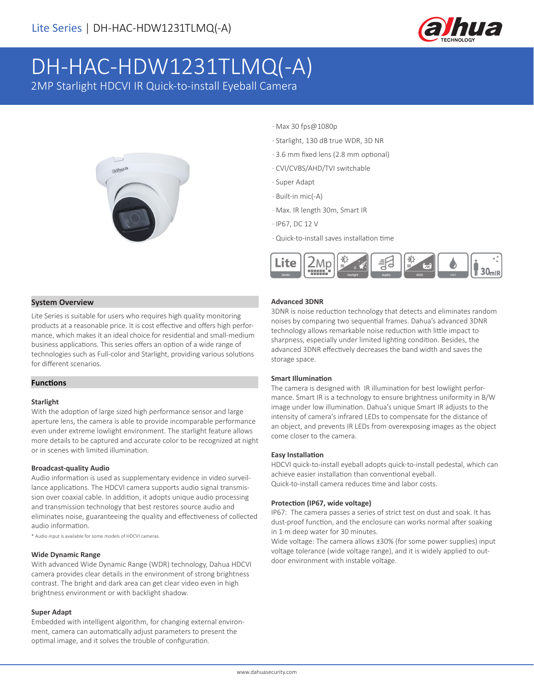

# DH-HAC-HDW1231TLMQ(-A)

2MP Starlight HDCVI IR Quick-to-install Eyeball Camera



- · Max 30 fps@1080p
- · Starlight, 130 dB true WDR, 3D NR
- · 3.6 mm fixed lens (2.8 mm optional)
- · CVI/CVBS/AHD/TVI switchable
- · Super Adapt
- · Built-in mic(-A)
- · Max. IR length 30m, Smart IR
- · IP67, DC 12 V
- · Quick-to-install saves installation time



### **System Overview**

Lite Series is suitable for users who requires high quality monitoring products at a reasonable price. It is cost effective and offers high performance, which makes it an ideal choice for residential and small-medium business applications. This series offers an option of a wide range of technologies such as Full-color and Starlight, providing various solutions for different scenarios.

## **Functions**

#### **Starlight**

With the adoption of large sized high performance sensor and large aperture lens, the camera is able to provide incomparable performance even under extreme lowlight environment. The starlight feature allows more details to be captured and accurate color to be recognized at night or in scenes with limited illumination.

#### **Broadcast-quality Audio**

Audio information is used as supplementary evidence in video surveillance applications. The HDCVI camera supports audio signal transmission over coaxial cable. In addition, it adopts unique audio processing and transmission technology that best restores source audio and eliminates noise, guaranteeing the quality and effectiveness of collected audio information.

\* Audio input is available for some models of HDCVI cameras.

#### **Wide Dynamic Range**

With advanced Wide Dynamic Range (WDR) technology, Dahua HDCVI camera provides clear details in the environment of strong brightness contrast. The bright and dark area can get clear video even in high brightness environment or with backlight shadow.

#### **Super Adapt**

Embedded with intelligent algorithm, for changing external environment, camera can automatically adjust parameters to present the optimal image, and it solves the trouble of configuration.

#### **Advanced 3DNR**

3DNR is noise reduction technology that detects and eliminates random noises by comparing two sequential frames. Dahua's advanced 3DNR technology allows remarkable noise reduction with little impact to sharpness, especially under limited lighting condition. Besides, the advanced 3DNR effectively decreases the band width and saves the storage space.

#### **Smart Illumination**

The camera is designed with IR illumination for best lowlight performance. Smart IR is a technology to ensure brightness uniformity in B/W image under low illumination. Dahua's unique Smart IR adjusts to the intensity of camera's infrared LEDs to compensate for the distance of an object, and prevents IR LEDs from overexposing images as the object come closer to the camera.

#### **Easy Installation**

HDCVI quick-to-install eyeball adopts quick-to-install pedestal, which can achieve easier installation than conventional eyeball. Quick-to-install camera reduces time and labor costs.

#### **Protection (IP67, wide voltage)**

IP67: The camera passes a series of strict test on dust and soak. It has dust-proof function, and the enclosure can works normal after soaking in 1 m deep water for 30 minutes.

Wide voltage: The camera allows ±30% (for some power supplies) input voltage tolerance (wide voltage range), and it is widely applied to outdoor environment with instable voltage.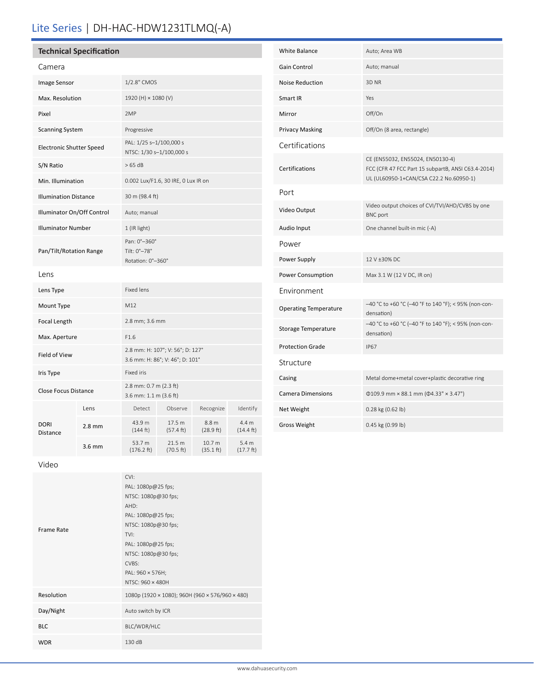# Lite Series | DH-HAC-HDW1231TLMQ(-A)

| <b>Technical Specification</b>  |      |                                                                     |         |           |  |
|---------------------------------|------|---------------------------------------------------------------------|---------|-----------|--|
| Camera                          |      |                                                                     |         |           |  |
| Image Sensor                    |      | 1/2.8" CMOS                                                         |         |           |  |
| Max. Resolution                 |      | 1920 (H) × 1080 (V)                                                 |         |           |  |
| Pixel                           |      | 2MP                                                                 |         |           |  |
| <b>Scanning System</b>          |      | Progressive                                                         |         |           |  |
| <b>Electronic Shutter Speed</b> |      | PAL: 1/25 s-1/100,000 s<br>NTSC: 1/30 s-1/100,000 s                 |         |           |  |
| S/N Ratio                       |      | >65 dB                                                              |         |           |  |
| Min. Illumination               |      | 0.002 Lux/F1.6, 30 IRE, 0 Lux IR on                                 |         |           |  |
| <b>Illumination Distance</b>    |      | 30 m (98.4 ft)                                                      |         |           |  |
| Illuminator On/Off Control      |      | Auto; manual                                                        |         |           |  |
| <b>Illuminator Number</b>       |      | 1 (IR light)                                                        |         |           |  |
| Pan/Tilt/Rotation Range         |      | Pan: 0°-360°<br>Tilt: 0°-78°<br>Rotation: 0°-360°                   |         |           |  |
| Lens                            |      |                                                                     |         |           |  |
| Lens Type                       |      | <b>Fixed lens</b>                                                   |         |           |  |
| Mount Type                      |      | M12                                                                 |         |           |  |
| Focal Length                    |      | 2.8 mm; 3.6 mm                                                      |         |           |  |
| Max. Aperture                   |      | F1.6                                                                |         |           |  |
| Field of View                   |      | 2.8 mm: H: 107°; V: 56°; D: 127°<br>3.6 mm: H: 86°; V: 46°; D: 101° |         |           |  |
| Iris Type                       |      | <b>Fixed iris</b>                                                   |         |           |  |
| <b>Close Focus Distance</b>     |      | 2.8 mm: 0.7 m (2.3 ft)<br>3.6 mm: 1.1 m (3.6 ft)                    |         |           |  |
|                                 | Lens | Detect                                                              | Observe | Recognize |  |

**2.8 mm**  $43.9 m$ 

3.6 mm 53.7 m (176.2 ft)

(144 ft)

17.5 m (57.4 ft)

21.5 m (70.5 ft)

8.8 m (28.9 ft)

10.7 m (35.1 ft)

| White Balance                | Auto; Area WB                                                                                                                     |  |  |  |  |
|------------------------------|-----------------------------------------------------------------------------------------------------------------------------------|--|--|--|--|
| <b>Gain Control</b>          | Auto; manual                                                                                                                      |  |  |  |  |
| <b>Noise Reduction</b>       | 3D <sub>NR</sub>                                                                                                                  |  |  |  |  |
| Smart IR                     | Yes                                                                                                                               |  |  |  |  |
| Mirror                       | Off/On                                                                                                                            |  |  |  |  |
| <b>Privacy Masking</b>       | Off/On (8 area, rectangle)                                                                                                        |  |  |  |  |
| Certifications               |                                                                                                                                   |  |  |  |  |
| Certifications               | CE (EN55032, EN55024, EN50130-4)<br>FCC (CFR 47 FCC Part 15 subpartB, ANSI C63.4-2014)<br>UL (UL60950-1+CAN/CSA C22.2 No.60950-1) |  |  |  |  |
| Port                         |                                                                                                                                   |  |  |  |  |
| Video Output                 | Video output choices of CVI/TVI/AHD/CVBS by one<br><b>BNC</b> port                                                                |  |  |  |  |
| Audio Input                  | One channel built-in mic (-A)                                                                                                     |  |  |  |  |
| Power                        |                                                                                                                                   |  |  |  |  |
| Power Supply                 | 12 V ±30% DC                                                                                                                      |  |  |  |  |
| Power Consumption            | Max 3.1 W (12 V DC, IR on)                                                                                                        |  |  |  |  |
| Environment                  |                                                                                                                                   |  |  |  |  |
| <b>Operating Temperature</b> | -40 °C to +60 °C (-40 °F to 140 °F); < 95% (non-con-<br>densation)                                                                |  |  |  |  |
| <b>Storage Temperature</b>   | -40 °C to +60 °C (-40 °F to 140 °F); < 95% (non-con-<br>densation)                                                                |  |  |  |  |
| <b>Protection Grade</b>      | <b>IP67</b>                                                                                                                       |  |  |  |  |
| Structure                    |                                                                                                                                   |  |  |  |  |
| Casing                       | Metal dome+metal cover+plastic decorative ring                                                                                    |  |  |  |  |
| <b>Camera Dimensions</b>     | $\Phi$ 109.9 mm × 88.1 mm ( $\Phi$ 4.33" × 3.47")                                                                                 |  |  |  |  |
| Net Weight                   | 0.28 kg (0.62 lb)                                                                                                                 |  |  |  |  |
| <b>Gross Weight</b>          | 0.45 kg (0.99 lb)                                                                                                                 |  |  |  |  |

Video

DORI Distance

| CVI:<br>PAL: 1080p@25 fps;<br>NTSC: 1080p@30 fps;<br>AHD:<br>PAL: 1080p@25 fps;<br>NTSC: 1080p@30 fps;<br>TVI:<br>PAL: 1080p@25 fps;<br>NTSC: 1080p@30 fps;<br>CVBS:<br>PAL: 960 × 576H; |  |
|------------------------------------------------------------------------------------------------------------------------------------------------------------------------------------------|--|
| NTSC: 960 × 480H                                                                                                                                                                         |  |
| 1080p (1920 × 1080); 960H (960 × 576/960 × 480)                                                                                                                                          |  |
| Auto switch by ICR                                                                                                                                                                       |  |
| BLC/WDR/HLC                                                                                                                                                                              |  |
| 130 dB                                                                                                                                                                                   |  |
|                                                                                                                                                                                          |  |

Identify

4.4 m (14.4 ft)

5.4 m (17.7 ft)